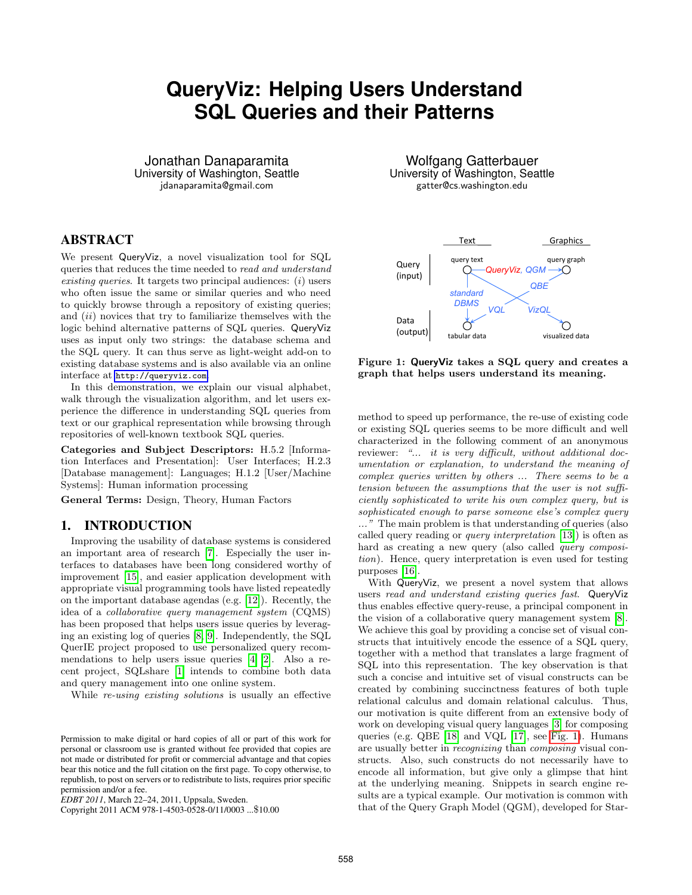# **QueryViz: Helping Users Understand SQL Queries and their Patterns**

Jonathan Danaparamita University of Washington, Seattle jdanaparamita@gmail.com

# ABSTRACT

We present QueryViz, a novel visualization tool for SQL queries that reduces the time needed to read and understand existing queries. It targets two principal audiences:  $(i)$  users who often issue the same or similar queries and who need to quickly browse through a repository of existing queries; and  $(ii)$  novices that try to familiarize themselves with the logic behind alternative patterns of SQL queries. QueryViz uses as input only two strings: the database schema and the SQL query. It can thus serve as light-weight add-on to existing database systems and is also available via an online interface at <http://queryviz.com>.

In this demonstration, we explain our visual alphabet, walk through the visualization algorithm, and let users experience the difference in understanding SQL queries from text or our graphical representation while browsing through repositories of well-known textbook SQL queries.

Categories and Subject Descriptors: H.5.2 [Information Interfaces and Presentation]: User Interfaces; H.2.3 [Database management]: Languages; H.1.2 [User/Machine Systems]: Human information processing

General Terms: Design, Theory, Human Factors

## 1. INTRODUCTION

Improving the usability of database systems is considered an important area of research [\[7\]](#page-3-0). Especially the user interfaces to databases have been long considered worthy of improvement [\[15\]](#page-3-1), and easier application development with appropriate visual programming tools have listed repeatedly on the important database agendas (e.g. [\[12\]](#page-3-2)). Recently, the idea of a collaborative query management system (CQMS) has been proposed that helps users issue queries by leveraging an existing log of queries [\[8,](#page-3-3) [9\]](#page-3-4). Independently, the SQL QuerIE project proposed to use personalized query recommendations to help users issue queries [\[4,](#page-3-5) [2\]](#page-3-6). Also a recent project, SQLshare [\[1\]](#page-3-7) intends to combine both data and query management into one online system.

While re-using existing solutions is usually an effective

Copyright 2011 ACM 978-1-4503-0528-0/11/0003 ...\$10.00

Wolfgang Gatterbauer University of Washington, Seattle gatter@cs.washington.edu

<span id="page-0-0"></span>

Figure 1: QueryViz takes a SQL query and creates a graph that helps users understand its meaning.

method to speed up performance, the re-use of existing code or existing SQL queries seems to be more difficult and well characterized in the following comment of an anonymous reviewer: "... it is very difficult, without additional documentation or explanation, to understand the meaning of complex queries written by others ... There seems to be a tension between the assumptions that the user is not sufficiently sophisticated to write his own complex query, but is sophisticated enough to parse someone else's complex query ..." The main problem is that understanding of queries (also called query reading or query interpretation [\[13\]](#page-3-8)) is often as hard as creating a new query (also called *query composi*tion). Hence, query interpretation is even used for testing purposes [\[16\]](#page-3-9).

With QueryViz, we present a novel system that allows users read and understand existing queries fast. QueryViz thus enables effective query-reuse, a principal component in the vision of a collaborative query management system [\[8\]](#page-3-3). We achieve this goal by providing a concise set of visual constructs that intuitively encode the essence of a SQL query, together with a method that translates a large fragment of SQL into this representation. The key observation is that such a concise and intuitive set of visual constructs can be created by combining succinctness features of both tuple relational calculus and domain relational calculus. Thus, our motivation is quite different from an extensive body of work on developing visual query languages [\[3\]](#page-3-10) for composing queries (e.g. QBE [\[18\]](#page-3-11) and VQL [\[17\]](#page-3-12), see [Fig. 1\)](#page-0-0). Humans are usually better in recognizing than composing visual constructs. Also, such constructs do not necessarily have to encode all information, but give only a glimpse that hint at the underlying meaning. Snippets in search engine results are a typical example. Our motivation is common with that of the Query Graph Model (QGM), developed for Star-

Permission to make digital or hard copies of all or part of this work for personal or classroom use is granted without fee provided that copies are not made or distributed for profit or commercial advantage and that copies bear this notice and the full citation on the first page. To copy otherwise, to republish, to post on servers or to redistribute to lists, requires prior specific permission and/or a fee.

*EDBT 2011*, March 22–24, 2011, Uppsala, Sweden.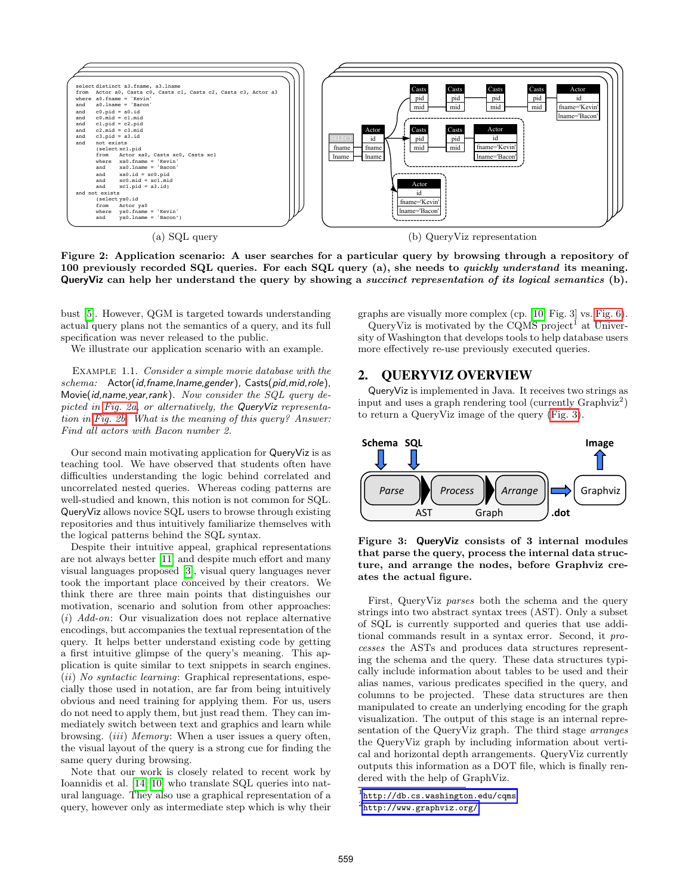<span id="page-1-0"></span>

Figure 2: Application scenario: A user searches for a particular query by browsing through a repository of 100 previously recorded SQL queries. For each SQL query (a), she needs to *quickly understand* its meaning. QueryViz can help her understand the query by showing a succinct representation of its logical semantics (b).

bust [\[5\]](#page-3-13). However, QGM is targeted towards understanding actual query plans not the semantics of a query, and its full specification was never released to the public.

We illustrate our application scenario with an example.

Example 1.1. Consider a simple movie database with the schema: Actor(id,fname,Iname,gender), Casts(pid,mid,role), Movie(id,name,year,rank). Now consider the SQL query de-picted in [Fig. 2a,](#page-1-0) or alternatively, the QueryViz representation in [Fig. 2b.](#page-1-1) What is the meaning of this query? Answer: Find all actors with Bacon number 2.

Our second main motivating application for QueryViz is as teaching tool. We have observed that students often have difficulties understanding the logic behind correlated and uncorrelated nested queries. Whereas coding patterns are well-studied and known, this notion is not common for SQL. QueryViz allows novice SQL users to browse through existing repositories and thus intuitively familiarize themselves with the logical patterns behind the SQL syntax.

Despite their intuitive appeal, graphical representations are not always better [\[11\]](#page-3-14) and despite much effort and many visual languages proposed [\[3\]](#page-3-10), visual query languages never took the important place conceived by their creators. We think there are three main points that distinguishes our motivation, scenario and solution from other approaches:  $(i)$  Add-on: Our visualization does not replace alternative encodings, but accompanies the textual representation of the query. It helps better understand existing code by getting a first intuitive glimpse of the query's meaning. This application is quite similar to text snippets in search engines.  $(ii)$  No syntactic learning: Graphical representations, especially those used in notation, are far from being intuitively obvious and need training for applying them. For us, users do not need to apply them, but just read them. They can immediately switch between text and graphics and learn while browsing. *(iii) Memory*: When a user issues a query often, the visual layout of the query is a strong cue for finding the same query during browsing.

Note that our work is closely related to recent work by Ioannidis et al. [\[14,](#page-3-15) [10\]](#page-3-16) who translate SQL queries into natural language. They also use a graphical representation of a query, however only as intermediate step which is why their <span id="page-1-1"></span>graphs are visually more complex (cp. [\[10,](#page-3-16) Fig. 3] vs. [Fig. 6\)](#page-2-0).

QueryViz is motivated by the CQMS project<sup>1</sup> at University of Washington that develops tools to help database users more effectively re-use previously executed queries.

# 2. QUERYVIZ OVERVIEW

QueryViz is implemented in Java. It receives two strings as input and uses a graph rendering tool (currently  $Graphviz^2$ ) to return a QueryViz image of the query [\(Fig. 3\)](#page-1-2).

<span id="page-1-2"></span>



First, QueryViz parses both the schema and the query strings into two abstract syntax trees (AST). Only a subset of SQL is currently supported and queries that use additional commands result in a syntax error. Second, it processes the ASTs and produces data structures representing the schema and the query. These data structures typically include information about tables to be used and their alias names, various predicates specified in the query, and columns to be projected. These data structures are then manipulated to create an underlying encoding for the graph visualization. The output of this stage is an internal representation of the QueryViz graph. The third stage arranges the QueryViz graph by including information about vertical and horizontal depth arrangements. QueryViz currently outputs this information as a DOT file, which is finally rendered with the help of GraphViz.

 $^{\rm 1}$ <http://db.cs.washington.edu/cqms>

 $^2$ <http://www.graphviz.org/>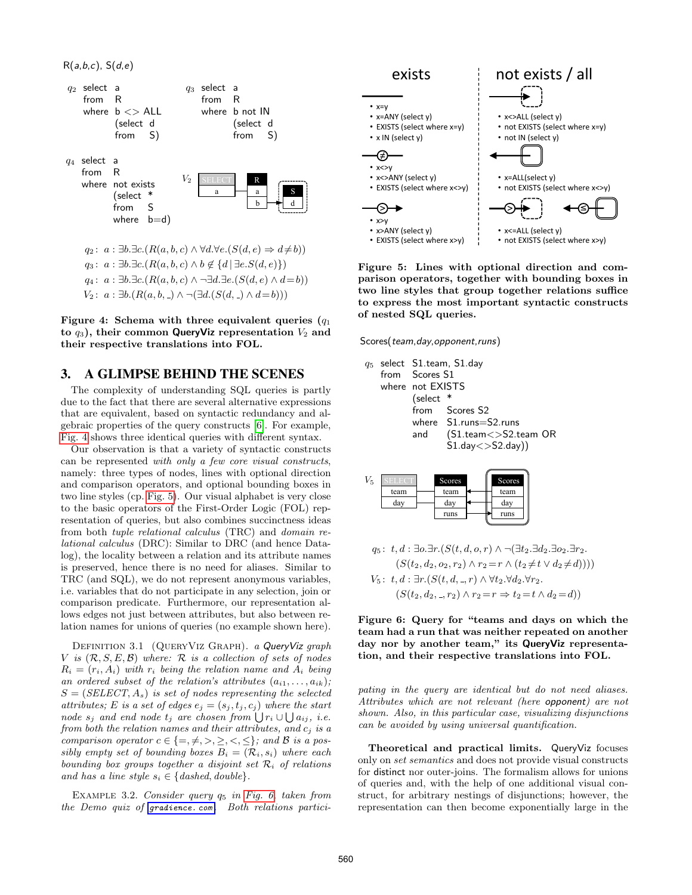<span id="page-2-1"></span> $R(a,b,c)$ ,  $S(d,e)$ 



Figure 4: Schema with three equivalent queries  $(q_1)$ to  $q_3$ ), their common QueryViz representation  $V_2$  and their respective translations into FOL.

 $V_2$ :  $a$  : ∃b.( $R(a, b, ) \wedge \neg (\exists d. (S(d, ) \wedge d = b)))$ 

## 3. A GLIMPSE BEHIND THE SCENES

The complexity of understanding SQL queries is partly due to the fact that there are several alternative expressions that are equivalent, based on syntactic redundancy and algebraic properties of the query constructs [\[6\]](#page-3-17). For example, [Fig. 4](#page-2-1) shows three identical queries with different syntax.

Our observation is that a variety of syntactic constructs can be represented with only a few core visual constructs, namely: three types of nodes, lines with optional direction and comparison operators, and optional bounding boxes in two line styles (cp. [Fig. 5\)](#page-2-2). Our visual alphabet is very close to the basic operators of the First-Order Logic (FOL) representation of queries, but also combines succinctness ideas from both tuple relational calculus (TRC) and domain relational calculus (DRC): Similar to DRC (and hence Datalog), the locality between a relation and its attribute names is preserved, hence there is no need for aliases. Similar to TRC (and SQL), we do not represent anonymous variables, i.e. variables that do not participate in any selection, join or comparison predicate. Furthermore, our representation allows edges not just between attributes, but also between relation names for unions of queries (no example shown here).

DEFINITION 3.1 (QUERYVIZ GRAPH). a QueryViz graph V is  $(\mathcal{R}, S, E, \mathcal{B})$  where:  $\mathcal R$  is a collection of sets of nodes  $R_i = (r_i, A_i)$  with  $r_i$  being the relation name and  $A_i$  being an ordered subset of the relation's attributes  $(a_{i1}, \ldots, a_{ik});$  $S = (SELECT, A_s)$  is set of nodes representing the selected attributes; E is a set of edges  $e_j = (s_j, t_j, c_j)$  where the start node  $s_j$  and end node  $t_j$  are chosen from  $\bigcup r_i \cup \bigcup a_{ij}$ , i.e. from both the relation names and their attributes, and  $c_j$  is a comparison operator  $c \in \{ =, \neq, >, \geq, <, \leq \}$ ; and B is a possibly empty set of bounding boxes  $B_i = (\mathcal{R}_i, s_i)$  where each bounding box groups together a disjoint set  $\mathcal{R}_i$  of relations and has a line style  $s_i \in \{dashed, double\}$ .

<span id="page-2-3"></span>EXAMPLE 3.2. Consider query  $q_5$  in [Fig. 6,](#page-2-0) taken from the Demo quiz of [gradience. com](gradience.com). Both relations partici-

<span id="page-2-2"></span>

Figure 5: Lines with optional direction and comparison operators, together with bounding boxes in two line styles that group together relations suffice to express the most important syntactic constructs of nested SQL queries.

<span id="page-2-0"></span>Scores(team,day,opponent,runs)

|  | from Scores S1<br>where not EXISTS<br>$\sqrt{\phantom{a}}$ select $\sqrt[*]{\phantom{a}}$ | $q_5$ select <code>S1.team</code> , <code>S1.day</code><br>from Scores S <sub>2</sub><br>where S1.runs=S2.runs<br>and $(S1.$ team $\langle$ >S2.team OR |
|--|-------------------------------------------------------------------------------------------|---------------------------------------------------------------------------------------------------------------------------------------------------------|
|  |                                                                                           | $(51.$ day $\langle$ $>$ S2.day))                                                                                                                       |

| И5 |      | Scores |  | <b>Scores</b> |  |
|----|------|--------|--|---------------|--|
|    | team | team   |  | team          |  |
|    | day  | dav    |  | day           |  |
|    |      | runs   |  | runs          |  |

$$
q_5: t, d: \exists o.\exists r. (S(t, d, o, r) \land \neg(\exists t_2.\exists d_2.\exists o_2.\exists r_2.(S(t_2, d_2, o_2, r_2) \land r_2 = r \land (t_2 \neq t \lor d_2 \neq d))))V_5: t, d: \exists r. (S(t, d, -, r) \land \forall t_2.\forall d_2.\forall r_2.(S(t_2, d_2, -, r_2) \land r_2 = r \Rightarrow t_2 = t \land d_2 = d))
$$

Figure 6: Query for "teams and days on which the team had a run that was neither repeated on another day nor by another team," its QueryViz representation, and their respective translations into FOL.

pating in the query are identical but do not need aliases. Attributes which are not relevant (here opponent) are not shown. Also, in this particular case, visualizing disjunctions can be avoided by using universal quantification.

Theoretical and practical limits. QueryViz focuses only on set semantics and does not provide visual constructs for distinct nor outer-joins. The formalism allows for unions of queries and, with the help of one additional visual construct, for arbitrary nestings of disjunctions; however, the representation can then become exponentially large in the